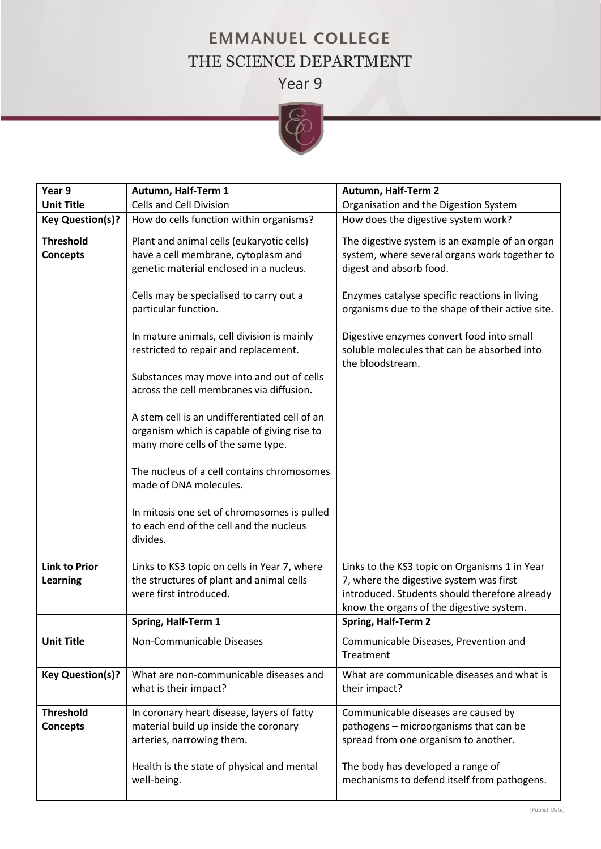## **EMMANUEL COLLEGE** THE SCIENCE DEPARTMENT

Year 9



| Year 9                  | Autumn, Half-Term 1                                                                   | Autumn, Half-Term 2                                                                                          |
|-------------------------|---------------------------------------------------------------------------------------|--------------------------------------------------------------------------------------------------------------|
| <b>Unit Title</b>       | <b>Cells and Cell Division</b>                                                        | Organisation and the Digestion System                                                                        |
| <b>Key Question(s)?</b> | How do cells function within organisms?                                               | How does the digestive system work?                                                                          |
| <b>Threshold</b>        | Plant and animal cells (eukaryotic cells)                                             | The digestive system is an example of an organ                                                               |
| <b>Concepts</b>         | have a cell membrane, cytoplasm and                                                   | system, where several organs work together to                                                                |
|                         | genetic material enclosed in a nucleus.                                               | digest and absorb food.                                                                                      |
|                         | Cells may be specialised to carry out a<br>particular function.                       | Enzymes catalyse specific reactions in living<br>organisms due to the shape of their active site.            |
|                         | In mature animals, cell division is mainly<br>restricted to repair and replacement.   | Digestive enzymes convert food into small<br>soluble molecules that can be absorbed into<br>the bloodstream. |
|                         | Substances may move into and out of cells<br>across the cell membranes via diffusion. |                                                                                                              |
|                         | A stem cell is an undifferentiated cell of an                                         |                                                                                                              |
|                         | organism which is capable of giving rise to                                           |                                                                                                              |
|                         | many more cells of the same type.                                                     |                                                                                                              |
|                         | The nucleus of a cell contains chromosomes                                            |                                                                                                              |
|                         | made of DNA molecules.                                                                |                                                                                                              |
|                         | In mitosis one set of chromosomes is pulled                                           |                                                                                                              |
|                         | to each end of the cell and the nucleus                                               |                                                                                                              |
|                         | divides.                                                                              |                                                                                                              |
| <b>Link to Prior</b>    | Links to KS3 topic on cells in Year 7, where                                          | Links to the KS3 topic on Organisms 1 in Year                                                                |
| <b>Learning</b>         | the structures of plant and animal cells                                              | 7, where the digestive system was first                                                                      |
|                         | were first introduced.                                                                | introduced. Students should therefore already                                                                |
|                         |                                                                                       | know the organs of the digestive system.                                                                     |
|                         | Spring, Half-Term 1                                                                   | Spring, Half-Term 2                                                                                          |
| <b>Unit Title</b>       | Non-Communicable Diseases                                                             | Communicable Diseases, Prevention and<br>Treatment                                                           |
| <b>Key Question(s)?</b> | What are non-communicable diseases and<br>what is their impact?                       | What are communicable diseases and what is<br>their impact?                                                  |
| <b>Threshold</b>        | In coronary heart disease, layers of fatty                                            | Communicable diseases are caused by                                                                          |
| <b>Concepts</b>         | material build up inside the coronary                                                 | pathogens - microorganisms that can be                                                                       |
|                         | arteries, narrowing them.                                                             | spread from one organism to another.                                                                         |
|                         | Health is the state of physical and mental                                            | The body has developed a range of                                                                            |
|                         | well-being.                                                                           | mechanisms to defend itself from pathogens.                                                                  |
|                         |                                                                                       |                                                                                                              |